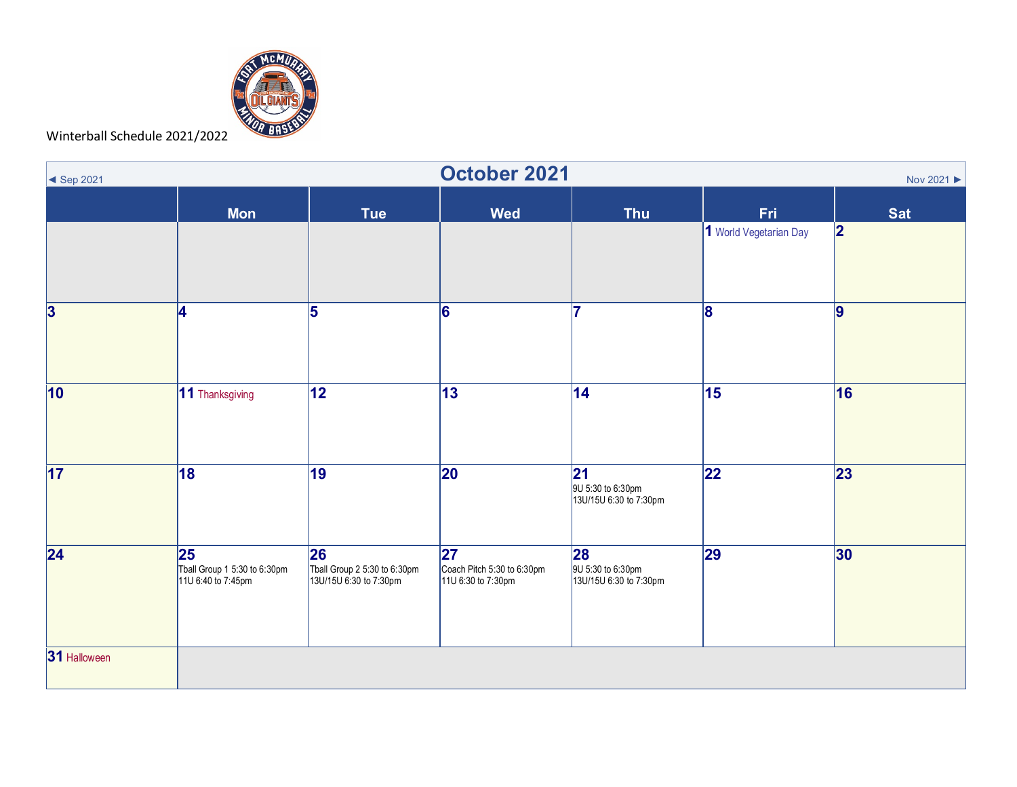

Winterball Schedule 2021/2022

| $\blacktriangleleft$ Sep 2021 | October 2021<br>Nov 2021 ▶                                |                                                              |                                                         |                                                    |                         |            |  |  |
|-------------------------------|-----------------------------------------------------------|--------------------------------------------------------------|---------------------------------------------------------|----------------------------------------------------|-------------------------|------------|--|--|
|                               | <b>Mon</b>                                                | <b>Tue</b>                                                   | <b>Wed</b>                                              | <b>Thu</b>                                         | Fri                     | <b>Sat</b> |  |  |
|                               |                                                           |                                                              |                                                         |                                                    | 1 World Vegetarian Day  | 2          |  |  |
| $\overline{\mathbf{3}}$       | 4                                                         | 5                                                            | 6                                                       |                                                    | $\overline{\mathbf{8}}$ | $\vert$ 9  |  |  |
| 10                            | 11 Thanksgiving                                           | $\overline{12}$                                              | $\overline{13}$                                         | 14                                                 | $\overline{15}$         | 16         |  |  |
| 17                            | 18                                                        | 19                                                           | 20                                                      | 21 <br>9U 5:30 to 6:30pm<br>13U/15U 6:30 to 7:30pm | 22                      | 23         |  |  |
| 24                            | 25 <br>Tball Group 1 5:30 to 6:30pm<br>11U 6:40 to 7:45pm | 26<br>Tball Group 2 5:30 to 6:30pm<br>13U/15U 6:30 to 7:30pm | 27 <br>Coach Pitch 5:30 to 6:30pm<br>11U 6:30 to 7:30pm | 28<br>9U 5:30 to 6:30pm<br>13U/15U 6:30 to 7:30pm  | 29                      | 30         |  |  |
| 31 Halloween                  |                                                           |                                                              |                                                         |                                                    |                         |            |  |  |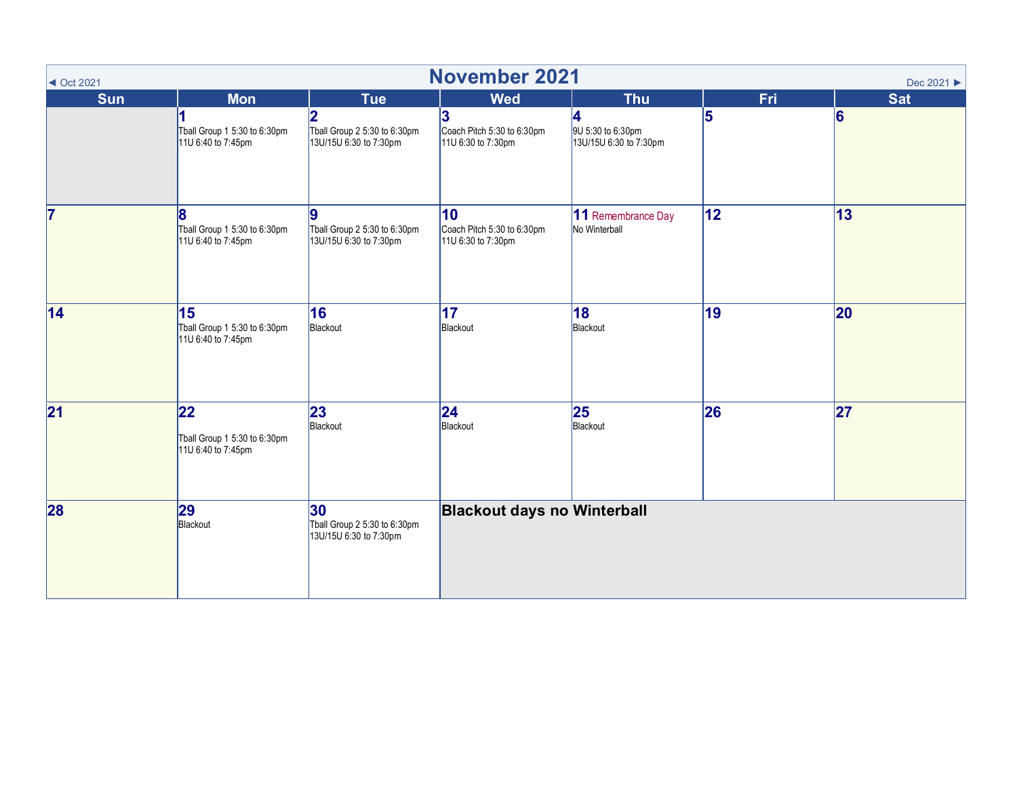| $\triangleleft$ Oct 2021 | <b>November 2021</b><br>Dec 2021 ▶                        |                                                                          |                                                                     |                                                  |     |            |  |  |
|--------------------------|-----------------------------------------------------------|--------------------------------------------------------------------------|---------------------------------------------------------------------|--------------------------------------------------|-----|------------|--|--|
| <b>Sun</b>               | <b>Mon</b>                                                | <b>Tue</b>                                                               | <b>Wed</b>                                                          | <b>Thu</b>                                       | Fri | <b>Sat</b> |  |  |
|                          | Tball Group 1 5:30 to 6:30pm<br>11U 6:40 to 7:45pm        | $\overline{2}$<br>Tball Group 2 5:30 to 6:30pm<br>13U/15U 6:30 to 7:30pm | 3<br>Coach Pitch 5:30 to 6:30pm<br>11U 6:30 to 7:30pm               | 4<br>9U 5:30 to 6:30pm<br>13U/15U 6:30 to 7:30pm | 5   | 6          |  |  |
| $\overline{7}$           | 8<br>Tball Group 1 5:30 to 6:30pm<br>11U 6:40 to 7:45pm   | 9<br>Tball Group 2 5:30 to 6:30pm<br>13U/15U 6:30 to 7:30pm              | $\overline{10}$<br>Coach Pitch 5:30 to 6:30pm<br>11U 6:30 to 7:30pm | 11 Remembrance Day<br>No Winterball              | 12  | $\vert$ 13 |  |  |
| 14                       | 15<br>Tball Group 1 5:30 to 6:30pm<br>11U 6:40 to 7:45pm  | 16<br>Blackout                                                           | $\overline{17}$<br>Blackout                                         | 18 <br>Blackout                                  | 19  | 20         |  |  |
| 21                       | 22 <br>Tball Group 1 5:30 to 6:30pm<br>11U 6:40 to 7:45pm | 23<br>Blackout                                                           | 24 <br>Blackout                                                     | 25<br>Blackout                                   | 26  | 27         |  |  |
| 28                       | 29<br>Blackout                                            | 30<br>Tball Group 2 5:30 to 6:30pm<br>13U/15U 6:30 to 7:30pm             | <b>Blackout days no Winterball</b>                                  |                                                  |     |            |  |  |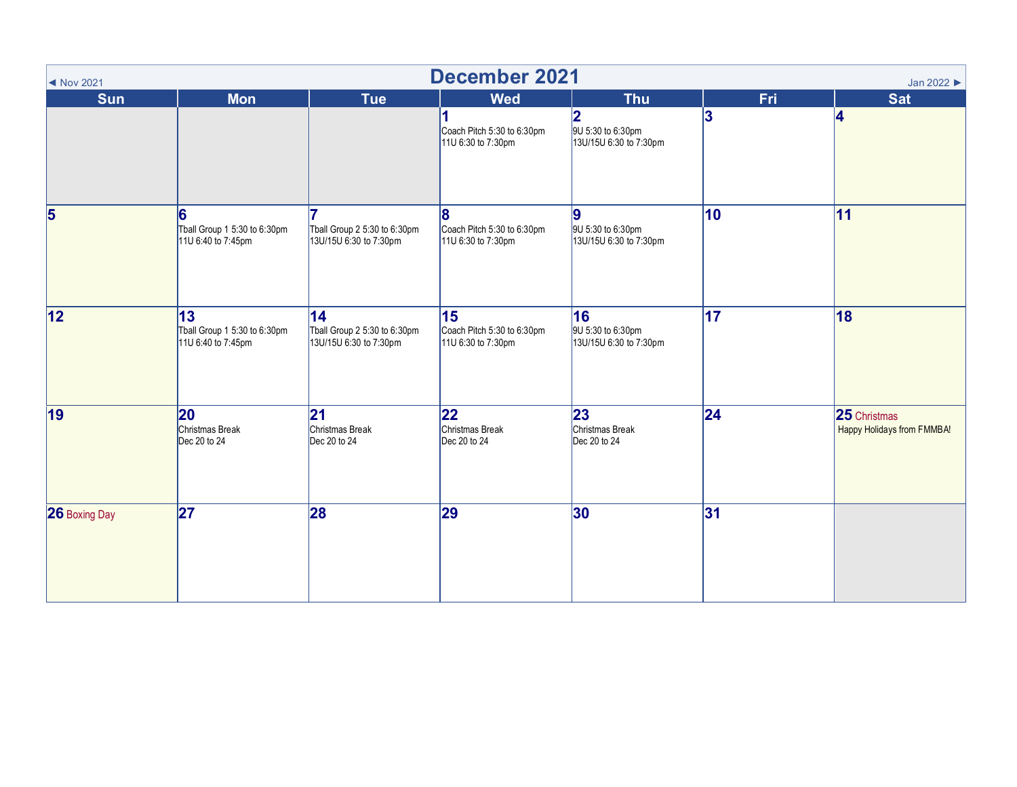| <b>December 2021</b><br>Jan 2022<br>◀ Nov 2021 |                                                           |                                                              |                                                        |                                                   |     |                                            |  |
|------------------------------------------------|-----------------------------------------------------------|--------------------------------------------------------------|--------------------------------------------------------|---------------------------------------------------|-----|--------------------------------------------|--|
| <b>Sun</b>                                     | <b>Mon</b>                                                | <b>Tue</b>                                                   | <b>Wed</b>                                             | <b>Thu</b>                                        | Fri | <b>Sat</b>                                 |  |
|                                                |                                                           |                                                              | 1<br>Coach Pitch 5:30 to 6:30pm<br>11U 6:30 to 7:30pm  | 2<br>9U 5:30 to 6:30pm<br>13U/15U 6:30 to 7:30pm  | 3   | 4                                          |  |
| 5                                              | 6<br>Tball Group 1 5:30 to 6:30pm<br>11U 6:40 to 7:45pm   | Tball Group 2 5:30 to 6:30pm<br>13U/15U 6:30 to 7:30pm       | 8<br>Coach Pitch 5:30 to 6:30pm<br>11U 6:30 to 7:30pm  | 9<br>9U 5:30 to 6:30pm<br>13U/15U 6:30 to 7:30pm  | 10  | 11                                         |  |
| 12                                             | 13 <br>Tball Group 1 5:30 to 6:30pm<br>11U 6:40 to 7:45pm | 14<br>Tball Group 2 5:30 to 6:30pm<br>13U/15U 6:30 to 7:30pm | 15<br>Coach Pitch 5:30 to 6:30pm<br>11U 6:30 to 7:30pm | 16<br>9U 5:30 to 6:30pm<br>13U/15U 6:30 to 7:30pm | 17  | 18                                         |  |
| 19                                             | 20<br>Christmas Break<br>Dec 20 to 24                     | 21 <br>Christmas Break<br>Dec 20 to 24                       | 22<br>Christmas Break<br>Dec 20 to 24                  | 23<br>Christmas Break<br>Dec 20 to 24             | 24  | 25 Christmas<br>Happy Holidays from FMMBA! |  |
| 26 Boxing Day                                  | 27                                                        | 28                                                           | 29                                                     | 30                                                | 31  |                                            |  |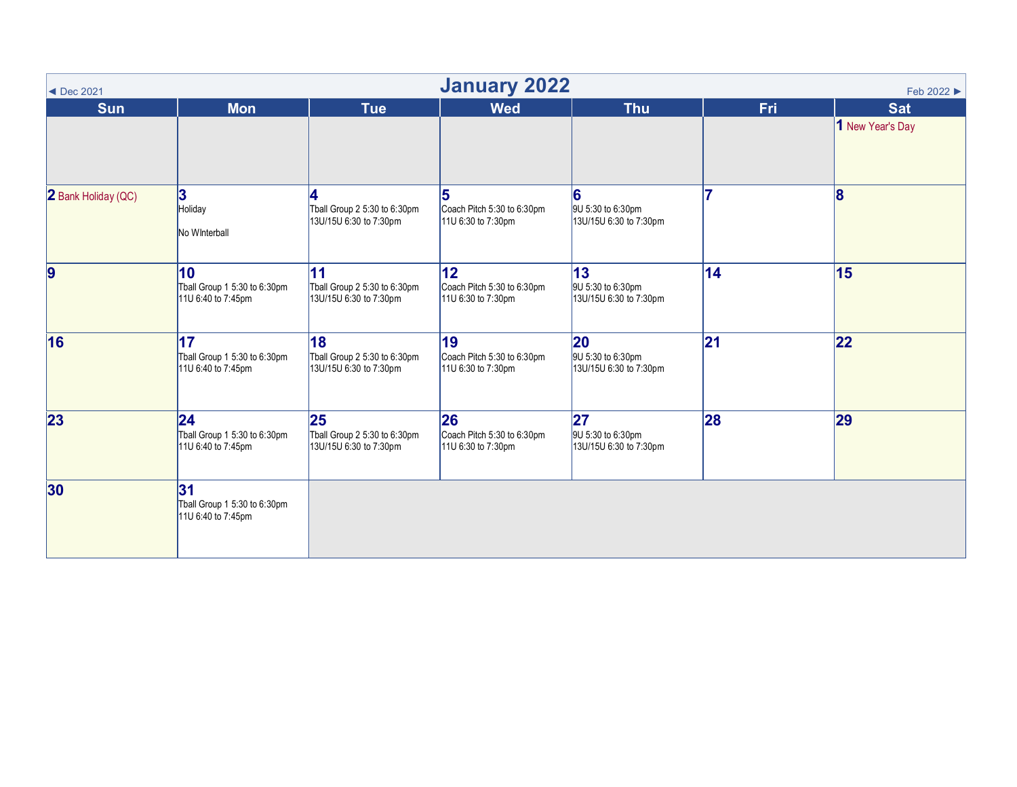<span id="page-3-0"></span>

| <b>January 2022</b><br>Feb 2022 ▶<br>$\blacktriangleleft$ Dec 2021 |                                                                       |                                                              |                                                                     |                                                             |           |                                |  |
|--------------------------------------------------------------------|-----------------------------------------------------------------------|--------------------------------------------------------------|---------------------------------------------------------------------|-------------------------------------------------------------|-----------|--------------------------------|--|
| <b>Sun</b>                                                         | <b>Mon</b>                                                            | <b>Tue</b>                                                   | <b>Wed</b>                                                          | <b>Thu</b>                                                  | Fri       | <b>Sat</b><br>1 New Year's Day |  |
| 2 Bank Holiday (QC)                                                | 3 <br>Holiday<br>No Winterball                                        | 4<br>Tball Group 2 5:30 to 6:30pm<br>13U/15U 6:30 to 7:30pm  | 5<br>Coach Pitch 5:30 to 6:30pm<br>11U 6:30 to 7:30pm               | 6<br>9U 5:30 to 6:30pm<br>13U/15U 6:30 to 7:30pm            | 7         | 8                              |  |
| $\overline{9}$                                                     | $\vert$ 10<br>Tball Group 1 5:30 to 6:30pm<br>11U 6:40 to 7:45pm      | 11<br>Tball Group 2 5:30 to 6:30pm<br>13U/15U 6:30 to 7:30pm | 12 <sub>2</sub><br>Coach Pitch 5:30 to 6:30pm<br>11U 6:30 to 7:30pm | $ 13\rangle$<br>9U 5:30 to 6:30pm<br>13U/15U 6:30 to 7:30pm | 14        | 15                             |  |
| 16                                                                 | $\overline{17}$<br>Tball Group 1 5:30 to 6:30pm<br>11U 6:40 to 7:45pm | 18<br>Tball Group 2 5:30 to 6:30pm<br>13U/15U 6:30 to 7:30pm | 19<br>Coach Pitch 5:30 to 6:30pm<br>11U 6:30 to 7:30pm              | 20<br>9U 5:30 to 6:30pm<br>13U/15U 6:30 to 7:30pm           | 21        | 22                             |  |
| 23                                                                 | 24 <br>Tball Group 1 5:30 to 6:30pm<br>11U 6:40 to 7:45pm             | 25<br>Tball Group 2 5:30 to 6:30pm<br>13U/15U 6:30 to 7:30pm | 26<br>Coach Pitch 5:30 to 6:30pm<br>11U 6:30 to 7:30pm              | 27<br>9U 5:30 to 6:30pm<br>13U/15U 6:30 to 7:30pm           | <b>28</b> | 29                             |  |
| 30                                                                 | 31 <br>Tball Group 1 5:30 to 6:30pm<br>11U 6:40 to 7:45pm             |                                                              |                                                                     |                                                             |           |                                |  |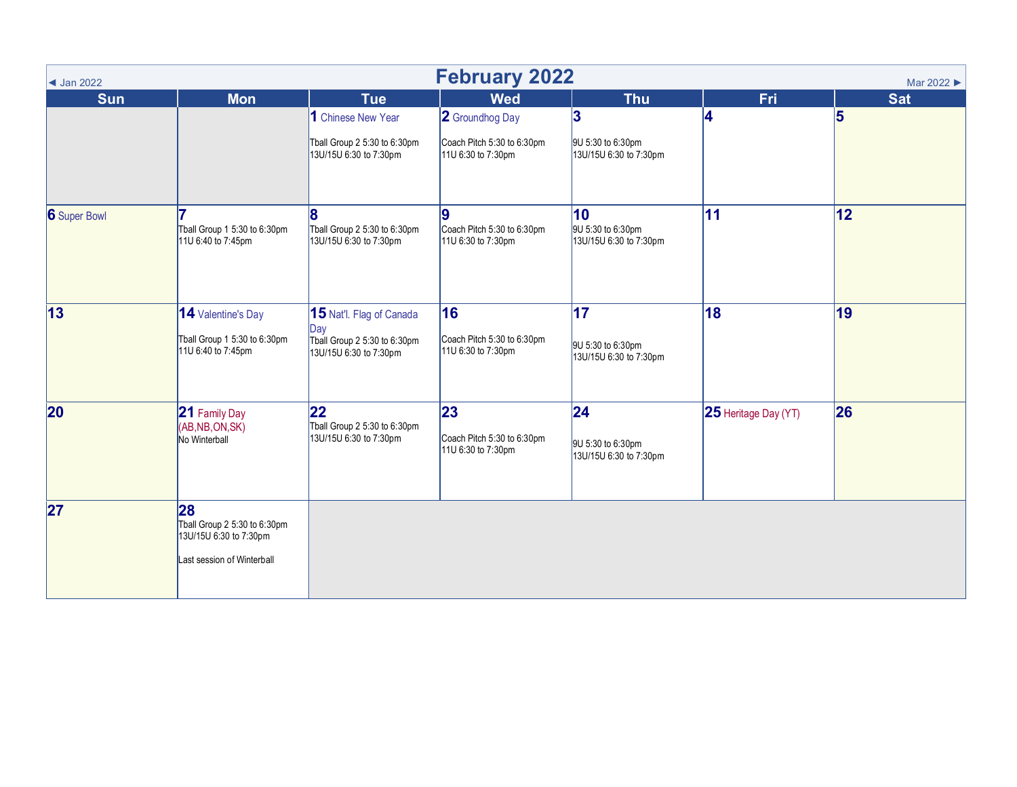| <b>February 2022</b><br>Mar 2022 ▶<br>$\triangleleft$ Jan 2022 |                                                                                            |                                                                                           |                                                         |                                                    |                             |            |  |  |
|----------------------------------------------------------------|--------------------------------------------------------------------------------------------|-------------------------------------------------------------------------------------------|---------------------------------------------------------|----------------------------------------------------|-----------------------------|------------|--|--|
| <b>Sun</b>                                                     | <b>Mon</b>                                                                                 | <b>Tue</b>                                                                                | <b>Wed</b>                                              | <b>Thu</b>                                         | Fri                         | <b>Sat</b> |  |  |
|                                                                |                                                                                            | 1 Chinese New Year                                                                        | 2 Groundhog Day                                         | 3                                                  | 4                           | 5          |  |  |
|                                                                |                                                                                            | Tball Group 2 5:30 to 6:30pm<br>13U/15U 6:30 to 7:30pm                                    | Coach Pitch 5:30 to 6:30pm<br>11U 6:30 to 7:30pm        | 9U 5:30 to 6:30pm<br>13U/15U 6:30 to 7:30pm        |                             |            |  |  |
| 6 Super Bowl                                                   | Tball Group 1 5:30 to 6:30pm<br>11U 6:40 to 7:45pm                                         | Tball Group 2 5:30 to 6:30pm<br>13U/15U 6:30 to 7:30pm                                    | 9<br>Coach Pitch 5:30 to 6:30pm<br>11U 6:30 to 7:30pm   | 10<br>9U 5:30 to 6:30pm<br>13U/15U 6:30 to 7:30pm  | 11                          | 12         |  |  |
| 13                                                             | 14 Valentine's Day<br>Tball Group 1 5:30 to 6:30pm<br>11U 6:40 to 7:45pm                   | 15 Nat'l. Flag of Canada<br>Day<br>Tball Group 2 5:30 to 6:30pm<br>13U/15U 6:30 to 7:30pm | 16<br>Coach Pitch 5:30 to 6:30pm<br>11U 6:30 to 7:30pm  | 17 <br>9U 5:30 to 6:30pm<br>13U/15U 6:30 to 7:30pm | 18                          | 19         |  |  |
| 20                                                             | 21 Family Day<br>(AB, NB, ON, SK)<br>No Winterball                                         | $22 \overline{)}$<br>Tball Group 2 5:30 to 6:30pm<br>13U/15U 6:30 to 7:30pm               | 23 <br>Coach Pitch 5:30 to 6:30pm<br>11U 6:30 to 7:30pm | 24 <br>9U 5:30 to 6:30pm<br>13U/15U 6:30 to 7:30pm | <b>25</b> Heritage Day (YT) | 26         |  |  |
| 27                                                             | 28<br>Tball Group 2 5:30 to 6:30pm<br>13U/15U 6:30 to 7:30pm<br>Last session of Winterball |                                                                                           |                                                         |                                                    |                             |            |  |  |